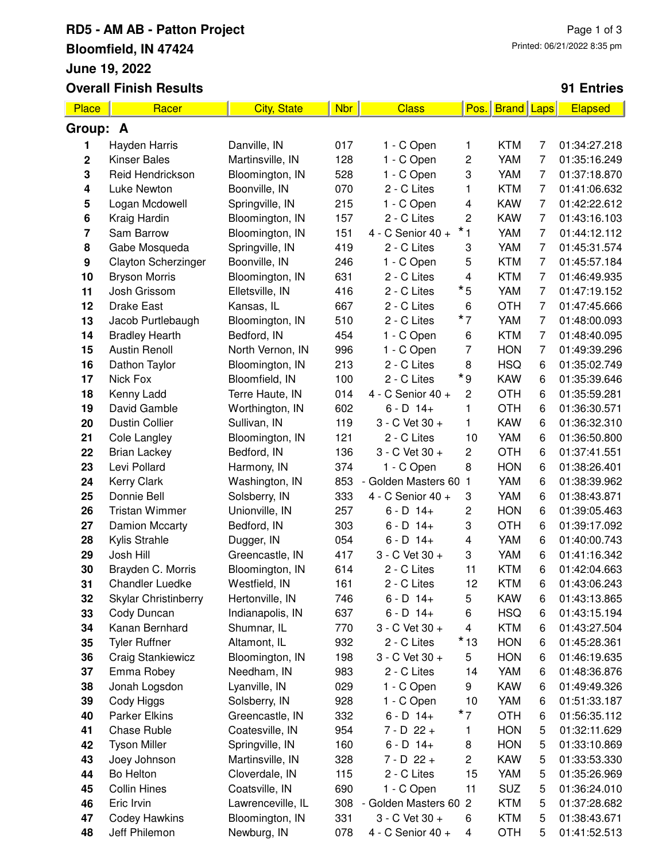### **RD5 - AM AB - Patton Project Bloomfield, IN 47424 June 19, 2022 Overall Finish Results**

#### **91 Entries**

| Place                   | Racer                      | <b>City, State</b> | <b>Nbr</b> | <b>Class</b>          | Pos.                    | <b>Brand Laps</b> |   | Elapsed                      |
|-------------------------|----------------------------|--------------------|------------|-----------------------|-------------------------|-------------------|---|------------------------------|
| Group: A                |                            |                    |            |                       |                         |                   |   |                              |
| 1                       | Hayden Harris              | Danville, IN       | 017        | 1 - C Open            | 1                       | <b>KTM</b>        | 7 | 01:34:27.218                 |
| $\mathbf 2$             | <b>Kinser Bales</b>        | Martinsville, IN   | 128        | 1 - C Open            | 2                       | YAM               | 7 | 01:35:16.249                 |
| 3                       | Reid Hendrickson           | Bloomington, IN    | 528        | 1 - C Open            | 3                       | YAM               | 7 | 01:37:18.870                 |
| 4                       | Luke Newton                | Boonville, IN      | 070        | 2 - C Lites           | 1                       | <b>KTM</b>        | 7 | 01:41:06.632                 |
| 5                       | Logan Mcdowell             | Springville, IN    | 215        | 1 - C Open            | 4                       | <b>KAW</b>        | 7 | 01:42:22.612                 |
| 6                       | Kraig Hardin               | Bloomington, IN    | 157        | 2 - C Lites           | 2                       | <b>KAW</b>        | 7 | 01:43:16.103                 |
| $\overline{\mathbf{r}}$ | Sam Barrow                 | Bloomington, IN    | 151        | 4 - C Senior 40 +     | $*_{1}$                 | YAM               | 7 | 01:44:12.112                 |
| 8                       | Gabe Mosqueda              | Springville, IN    | 419        | 2 - C Lites           | 3                       | YAM               | 7 | 01:45:31.574                 |
| $\boldsymbol{9}$        | <b>Clayton Scherzinger</b> | Boonville, IN      | 246        | 1 - C Open            | 5                       | <b>KTM</b>        | 7 | 01:45:57.184                 |
| 10                      | <b>Bryson Morris</b>       | Bloomington, IN    | 631        | 2 - C Lites           | 4                       | <b>KTM</b>        | 7 | 01:46:49.935                 |
| 11                      | Josh Grissom               | Elletsville, IN    | 416        | 2 - C Lites           | $*_{5}$                 | YAM               | 7 | 01:47:19.152                 |
| 12                      | <b>Drake East</b>          | Kansas, IL         | 667        | 2 - C Lites           | 6                       | <b>OTH</b>        | 7 | 01:47:45.666                 |
| 13                      | Jacob Purtlebaugh          | Bloomington, IN    | 510        | 2 - C Lites           | $*_{7}$                 | YAM               | 7 | 01:48:00.093                 |
| 14                      | <b>Bradley Hearth</b>      | Bedford, IN        | 454        | 1 - C Open            | 6                       | <b>KTM</b>        | 7 | 01:48:40.095                 |
| 15                      | <b>Austin Renoll</b>       | North Vernon, IN   | 996        | 1 - C Open            | 7                       | <b>HON</b>        | 7 | 01:49:39.296                 |
| 16                      | Dathon Taylor              | Bloomington, IN    | 213        | 2 - C Lites           | 8                       | <b>HSQ</b>        | 6 | 01:35:02.749                 |
| 17                      | Nick Fox                   | Bloomfield, IN     | 100        | 2 - C Lites           | * 9                     | <b>KAW</b>        | 6 | 01:35:39.646                 |
| 18                      | Kenny Ladd                 | Terre Haute, IN    | 014        | 4 - C Senior 40 +     | 2                       | <b>OTH</b>        | 6 | 01:35:59.281                 |
| 19                      | David Gamble               | Worthington, IN    | 602        | $6 - D$ 14+           | 1                       | <b>OTH</b>        | 6 | 01:36:30.571                 |
| 20                      | <b>Dustin Collier</b>      | Sullivan, IN       | 119        | 3 - C Vet 30 +        | 1                       | <b>KAW</b>        | 6 | 01:36:32.310                 |
| 21                      | Cole Langley               | Bloomington, IN    | 121        | 2 - C Lites           | 10                      | YAM               | 6 | 01:36:50.800                 |
| 22                      | <b>Brian Lackey</b>        | Bedford, IN        | 136        | 3 - C Vet 30 +        | 2                       | <b>OTH</b>        | 6 | 01:37:41.551                 |
| 23                      | Levi Pollard               | Harmony, IN        | 374        | 1 - C Open            | 8                       | <b>HON</b>        | 6 | 01:38:26.401                 |
| 24                      | Kerry Clark                | Washington, IN     | 853        | Golden Masters 60     | 1                       | YAM               | 6 | 01:38:39.962                 |
| 25                      | Donnie Bell                | Solsberry, IN      | 333        | 4 - C Senior 40 +     | 3                       | YAM               | 6 | 01:38:43.871                 |
| 26                      | <b>Tristan Wimmer</b>      | Unionville, IN     | 257        | $6 - D$ 14+           | 2                       | <b>HON</b>        | 6 | 01:39:05.463                 |
| 27                      | <b>Damion Mccarty</b>      | Bedford, IN        | 303        | $6 - D$ 14+           | 3                       | <b>OTH</b>        | 6 | 01:39:17.092                 |
| 28                      | Kylis Strahle              | Dugger, IN         | 054        | $6 - D$ 14+           | $\overline{\mathbf{4}}$ | YAM               | 6 | 01:40:00.743                 |
| 29                      | Josh Hill                  | Greencastle, IN    | 417        | 3 - C Vet 30 +        | 3                       | YAM               | 6 | 01:41:16.342                 |
| 30                      | Brayden C. Morris          | Bloomington, IN    | 614        | 2 - C Lites           | 11                      | <b>KTM</b>        | 6 | 01:42:04.663                 |
| 31                      | <b>Chandler Luedke</b>     | Westfield, IN      | 161        | 2 - C Lites           | 12                      | <b>KTM</b>        | 6 | 01:43:06.243                 |
| 32                      | Skylar Christinberry       | Hertonville, IN    | 746        | $6 - D$ 14+           | 5                       | <b>KAW</b>        | 6 | 01:43:13.865                 |
| 33                      | Cody Duncan                | Indianapolis, IN   | 637        | $6 - D$ 14+           | 6                       | <b>HSQ</b>        | 6 | 01:43:15.194                 |
| 34                      | Kanan Bernhard             | Shumnar, IL        | 770        | 3 - C Vet 30 +        | 4                       | <b>KTM</b>        | 6 | 01:43:27.504                 |
| 35                      | <b>Tyler Ruffner</b>       | Altamont, IL       | 932        | 2 - C Lites           | $*13$                   | <b>HON</b>        | 6 | 01:45:28.361                 |
| 36                      | <b>Craig Stankiewicz</b>   | Bloomington, IN    | 198        | 3 - C Vet 30 +        | 5                       | <b>HON</b>        | 6 | 01:46:19.635                 |
| 37                      | Emma Robey                 | Needham, IN        | 983        | 2 - C Lites           | 14                      | YAM               | 6 | 01:48:36.876                 |
| 38                      | Jonah Logsdon              | Lyanville, IN      | 029        | 1 - C Open            | 9                       | <b>KAW</b>        | 6 | 01:49:49.326                 |
| 39                      | Cody Higgs                 | Solsberry, IN      | 928        | 1 - C Open            | 10                      | YAM               | 6 | 01:51:33.187                 |
| 40                      | <b>Parker Elkins</b>       | Greencastle, IN    | 332        | $6 - D$ 14+           | $*_{7}$                 | <b>OTH</b>        | 6 | 01:56:35.112                 |
| 41                      | Chase Ruble                | Coatesville, IN    | 954        | $7 - D$ 22 +          | 1                       | <b>HON</b>        | 5 | 01:32:11.629                 |
| 42                      | <b>Tyson Miller</b>        | Springville, IN    | 160        | $6 - D$ 14+           | 8                       | <b>HON</b>        | 5 | 01:33:10.869                 |
| 43                      | Joey Johnson               | Martinsville, IN   | 328        | $7 - D$ 22 +          | 2                       | <b>KAW</b>        | 5 |                              |
| 44                      | Bo Helton                  | Cloverdale, IN     | 115        | 2 - C Lites           | 15                      | YAM               | 5 | 01:33:53.330<br>01:35:26.969 |
| 45                      | <b>Collin Hines</b>        | Coatsville, IN     | 690        | 1 - C Open            | 11                      | SUZ               | 5 | 01:36:24.010                 |
| 46                      | Eric Irvin                 |                    | 308        | - Golden Masters 60 2 |                         | <b>KTM</b>        |   |                              |
|                         |                            | Lawrenceville, IL  |            |                       |                         |                   | 5 | 01:37:28.682                 |
| 47                      | <b>Codey Hawkins</b>       | Bloomington, IN    | 331        | 3 - C Vet 30 +        | 6                       | <b>KTM</b>        | 5 | 01:38:43.671                 |
| 48                      | Jeff Philemon              | Newburg, IN        | 078        | 4 - C Senior 40 +     | $\overline{4}$          | OTH               | 5 | 01:41:52.513                 |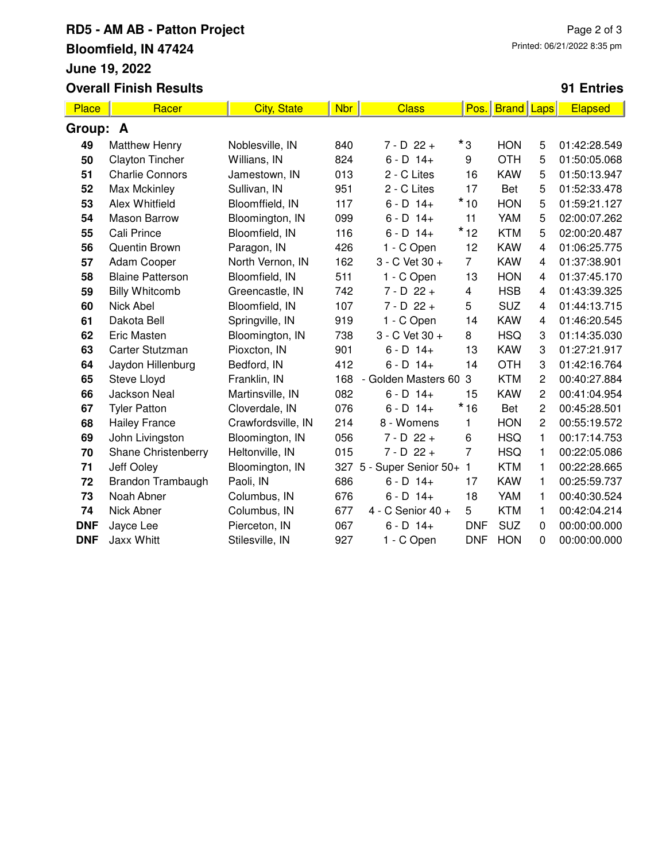# **RD5 - AM AB - Patton Project Bloomfield, IN 47424 June 19, 2022 Overall Finish Results**

### **91 Entries**

| Place      | Racer                   | <b>City, State</b> | <b>Nbr</b> | <b>Class</b>                                  | Pos.           | <b>Brand</b> | <b>Laps</b>    | Elapsed      |
|------------|-------------------------|--------------------|------------|-----------------------------------------------|----------------|--------------|----------------|--------------|
| Group: A   |                         |                    |            |                                               |                |              |                |              |
| 49         | <b>Matthew Henry</b>    | Noblesville, IN    | 840        | $7 - D$ 22 +                                  | *3             | <b>HON</b>   | 5              | 01:42:28.549 |
| 50         | <b>Clayton Tincher</b>  | Willians, IN       | 824        | $6 - D$ 14+                                   | 9              | <b>OTH</b>   | 5              | 01:50:05.068 |
| 51         | <b>Charlie Connors</b>  | Jamestown, IN      | 013        | 2 - C Lites                                   | 16             | <b>KAW</b>   | 5              | 01:50:13.947 |
| 52         | Max Mckinley            | Sullivan, IN       | 951        | 2 - C Lites                                   | 17             | <b>Bet</b>   | 5              | 01:52:33.478 |
| 53         | Alex Whitfield          | Bloomffield, IN    | 117        | $6 - D$ 14+                                   | $*10$          | <b>HON</b>   | 5              | 01:59:21.127 |
| 54         | <b>Mason Barrow</b>     | Bloomington, IN    | 099        | $6 - D$ 14+                                   | 11             | YAM          | 5              | 02:00:07.262 |
| 55         | Cali Prince             | Bloomfield, IN     | 116        | $6 - D$ 14+                                   | $*12$          | <b>KTM</b>   | 5              | 02:00:20.487 |
| 56         | Quentin Brown           | Paragon, IN        | 426        | 1 - C Open                                    | 12             | <b>KAW</b>   | 4              | 01:06:25.775 |
| 57         | Adam Cooper             | North Vernon, IN   | 162        | 3 - C Vet 30 +                                | $\overline{7}$ | <b>KAW</b>   | 4              | 01:37:38.901 |
| 58         | <b>Blaine Patterson</b> | Bloomfield, IN     | 511        | 1 - C Open                                    | 13             | <b>HON</b>   | 4              | 01:37:45.170 |
| 59         | <b>Billy Whitcomb</b>   | Greencastle, IN    | 742        | $7 - D 22 +$                                  | 4              | <b>HSB</b>   | 4              | 01:43:39.325 |
| 60         | Nick Abel               | Bloomfield, IN     | 107        | $7 - D$ 22 +                                  | 5              | <b>SUZ</b>   | 4              | 01:44:13.715 |
| 61         | Dakota Bell             | Springville, IN    | 919        | 1 - C Open                                    | 14             | <b>KAW</b>   | 4              | 01:46:20.545 |
| 62         | <b>Eric Masten</b>      | Bloomington, IN    | 738        | 3 - C Vet 30 +                                | 8              | <b>HSQ</b>   | 3              | 01:14:35.030 |
| 63         | Carter Stutzman         | Pioxcton, IN       | 901        | $6 - D$ 14+                                   | 13             | <b>KAW</b>   | 3              | 01:27:21.917 |
| 64         | Jaydon Hillenburg       | Bedford, IN        | 412        | $6 - D$ 14+                                   | 14             | <b>OTH</b>   | 3              | 01:42:16.764 |
| 65         | Steve Lloyd             | Franklin, IN       | 168        | Golden Masters 60<br>$\overline{\phantom{0}}$ | 3              | <b>KTM</b>   | $\overline{2}$ | 00:40:27.884 |
| 66         | <b>Jackson Neal</b>     | Martinsville, IN   | 082        | $6 - D$ 14+                                   | 15             | <b>KAW</b>   | $\overline{c}$ | 00:41:04.954 |
| 67         | <b>Tyler Patton</b>     | Cloverdale, IN     | 076        | $6 - D$ 14+                                   | $*16$          | Bet          | $\overline{2}$ | 00:45:28.501 |
| 68         | <b>Hailey France</b>    | Crawfordsville, IN | 214        | 8 - Womens                                    | 1              | <b>HON</b>   | $\overline{c}$ | 00:55:19.572 |
| 69         | John Livingston         | Bloomington, IN    | 056        | $7 - D$ 22 +                                  | 6              | <b>HSQ</b>   | 1              | 00:17:14.753 |
| 70         | Shane Christenberry     | Heltonville, IN    | 015        | $7 - D 22 +$                                  | $\overline{7}$ | <b>HSQ</b>   | 1              | 00:22:05.086 |
| 71         | Jeff Ooley              | Bloomington, IN    |            | 327 5 - Super Senior 50+                      | $\mathbf{1}$   | <b>KTM</b>   | 1              | 00:22:28.665 |
| 72         | Brandon Trambaugh       | Paoli, IN          | 686        | $6 - D$ 14+                                   | 17             | <b>KAW</b>   | 1              | 00:25:59.737 |
| 73         | Noah Abner              | Columbus, IN       | 676        | $6 - D$ 14+                                   | 18             | YAM          | 1              | 00:40:30.524 |
| 74         | Nick Abner              | Columbus, IN       | 677        | 4 - C Senior 40 +                             | 5              | <b>KTM</b>   | 1              | 00:42:04.214 |
| <b>DNF</b> | Jayce Lee               | Pierceton, IN      | 067        | $6 - D$ 14+                                   | <b>DNF</b>     | <b>SUZ</b>   | 0              | 00:00:00.000 |
| <b>DNF</b> | <b>Jaxx Whitt</b>       | Stilesville, IN    | 927        | 1 - C Open                                    | <b>DNF</b>     | <b>HON</b>   | 0              | 00:00:00.000 |